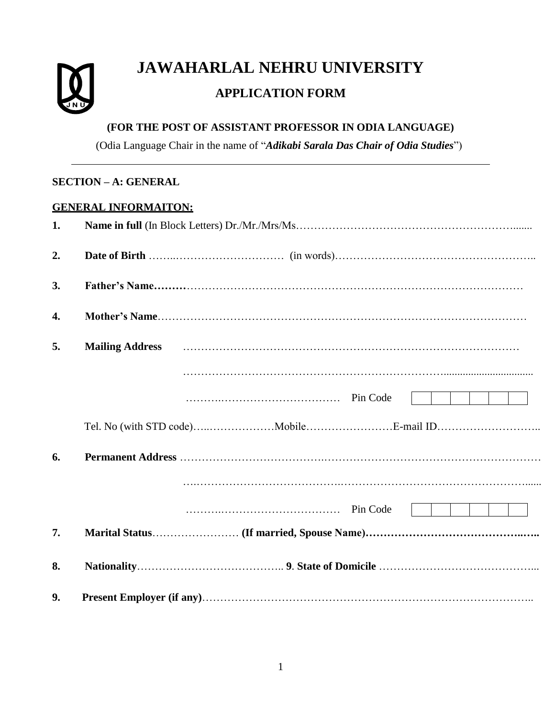

# **JAWAHARLAL NEHRU UNIVERSITY**

# **APPLICATION FORM**

### **(FOR THE POST OF ASSISTANT PROFESSOR IN ODIA LANGUAGE)**

(Odia Language Chair in the name of "*Adikabi Sarala Das Chair of Odia Studies*")

## **SECTION – A: GENERAL**

#### **GENERAL INFORMAITON:**

| 1. |                                                                                                                                           |
|----|-------------------------------------------------------------------------------------------------------------------------------------------|
| 2. |                                                                                                                                           |
| 3. |                                                                                                                                           |
| 4. |                                                                                                                                           |
| 5. | Mailing Address <i>mailing</i> Address <b>manufactures</b> <i>mailing</i> Address <b>manufactures mailing</b> Address <b>manufactures</b> |
|    |                                                                                                                                           |
|    |                                                                                                                                           |
|    |                                                                                                                                           |
| 6. |                                                                                                                                           |
|    |                                                                                                                                           |
|    |                                                                                                                                           |
| 7. |                                                                                                                                           |
| 8. |                                                                                                                                           |
| 9. |                                                                                                                                           |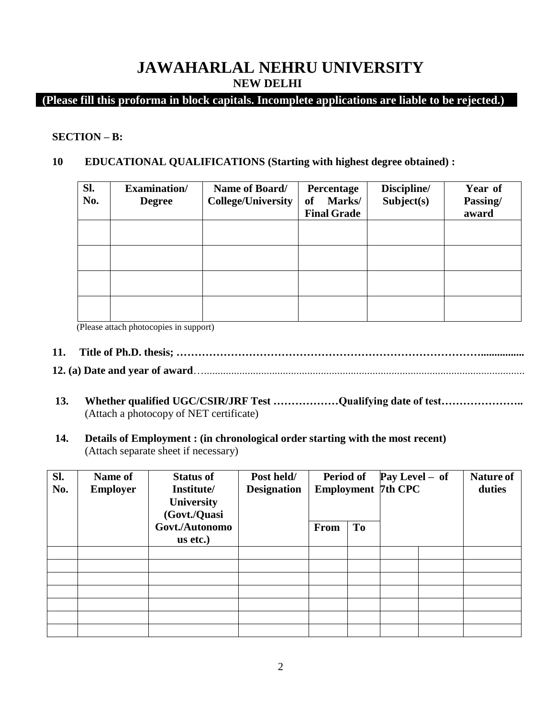# **JAWAHARLAL NEHRU UNIVERSITY NEW DELHI**

## **(Please fill this proforma in block capitals. Incomplete applications are liable to be rejected.)**

#### **SECTION – B:**

#### **10 EDUCATIONAL QUALIFICATIONS (Starting with highest degree obtained) :**

| Sl.<br>No. | <b>Examination</b> /<br><b>Degree</b> | Name of Board/<br><b>College/University</b> | Percentage<br>Marks/<br>оf<br><b>Final Grade</b> | Discipline/<br>Subject(s) | Year of<br>Passing/<br>award |
|------------|---------------------------------------|---------------------------------------------|--------------------------------------------------|---------------------------|------------------------------|
|            |                                       |                                             |                                                  |                           |                              |
|            |                                       |                                             |                                                  |                           |                              |
|            |                                       |                                             |                                                  |                           |                              |
|            |                                       |                                             |                                                  |                           |                              |

(Please attach photocopies in support)

- **11. Title of Ph.D. thesis; …………………………………………………………………………................**
- **12. (a) Date and year of award**…......................................................................................................................
- **13. Whether qualified UGC/CSIR/JRF Test ………………Qualifying date of test…………………..** (Attach a photocopy of NET certificate)
- **14. Details of Employment : (in chronological order starting with the most recent)** (Attach separate sheet if necessary)

| Sl.<br>No. | Name of<br><b>Employer</b> | <b>Status of</b><br>Institute/<br><b>University</b><br>(Govt./Quasi | Post held/<br><b>Designation</b> | <b>Period of</b><br><b>Employment 7th CPC</b> |           | Pay Level - of |  | <b>Nature of</b><br>duties |
|------------|----------------------------|---------------------------------------------------------------------|----------------------------------|-----------------------------------------------|-----------|----------------|--|----------------------------|
|            |                            | Govt./Autonomo<br>us etc.)                                          |                                  | From                                          | <b>To</b> |                |  |                            |
|            |                            |                                                                     |                                  |                                               |           |                |  |                            |
|            |                            |                                                                     |                                  |                                               |           |                |  |                            |
|            |                            |                                                                     |                                  |                                               |           |                |  |                            |
|            |                            |                                                                     |                                  |                                               |           |                |  |                            |
|            |                            |                                                                     |                                  |                                               |           |                |  |                            |
|            |                            |                                                                     |                                  |                                               |           |                |  |                            |
|            |                            |                                                                     |                                  |                                               |           |                |  |                            |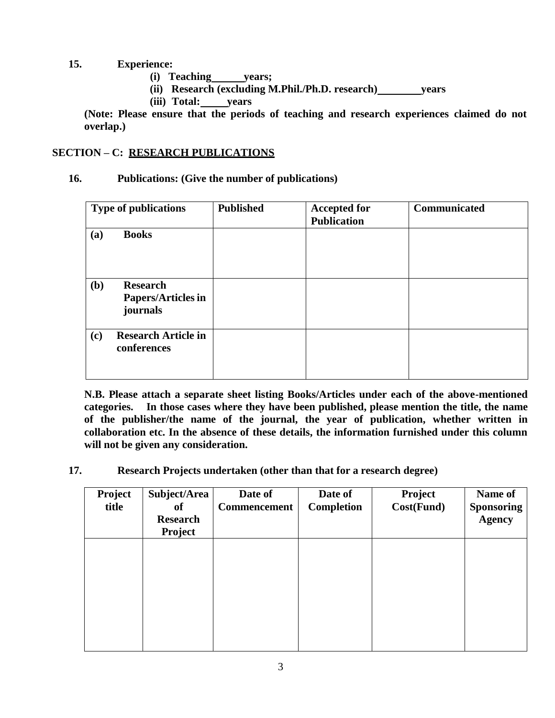#### **15. Experience:**

- **(i) Teaching years;**
- **(ii) Research (excluding M.Phil./Ph.D. research) years**
- **(iii) Total: years**

**(Note: Please ensure that the periods of teaching and research experiences claimed do not overlap.)**

#### **SECTION – C: RESEARCH PUBLICATIONS**

#### **16. Publications: (Give the number of publications)**

| <b>Type of publications</b> |                                                          | <b>Published</b> | <b>Accepted for</b><br><b>Publication</b> | Communicated |
|-----------------------------|----------------------------------------------------------|------------------|-------------------------------------------|--------------|
| (a)                         | <b>Books</b>                                             |                  |                                           |              |
| (b)                         | <b>Research</b><br><b>Papers/Articles in</b><br>journals |                  |                                           |              |
| (c)                         | <b>Research Article in</b><br>conferences                |                  |                                           |              |

**N.B. Please attach a separate sheet listing Books/Articles under each of the above-mentioned categories. In those cases where they have been published, please mention the title, the name of the publisher/the name of the journal, the year of publication, whether written in collaboration etc. In the absence of these details, the information furnished under this column will not be given any consideration.**

#### **17. Research Projects undertaken (other than that for a research degree)**